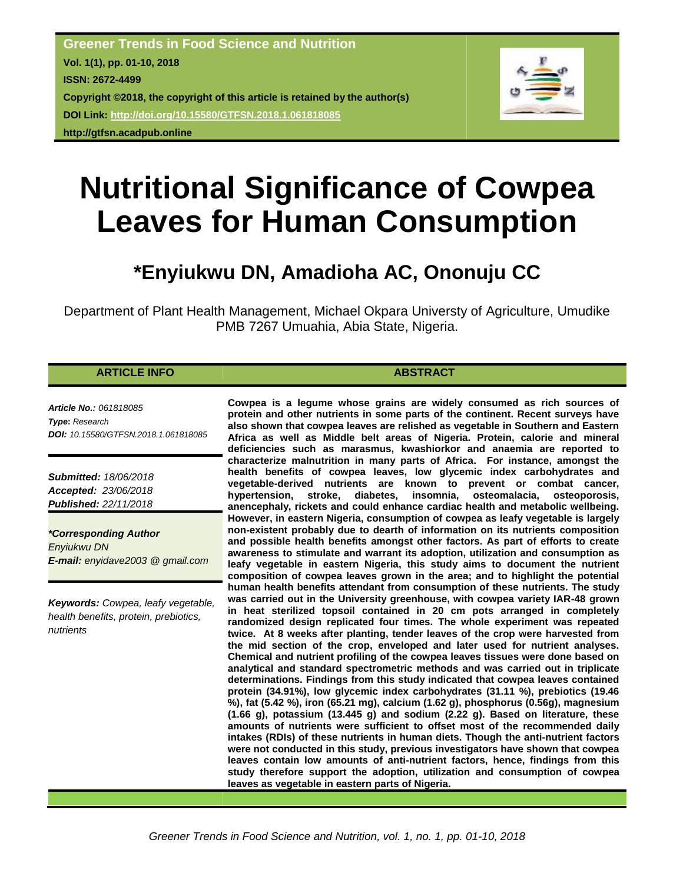**Greener Trends in Food Science and Nutrition Vol. 1(1), pp. 01-10, 2018 ISSN: 2672-4499 Copyright ©2018, the copyright of this article is retained by the author(s) DOI Link: <http://doi.org/10.15580/GTFSN.2018.1.061818085> http://gtfsn.acadpub.online**



# **Nutritional Significance of Cowpea Leaves for Human Consumption**

# **\*Enyiukwu DN, Amadioha AC, Ononuju CC**

Department of Plant Health Management, Michael Okpara Universty of Agriculture, Umudike PMB 7267 Umuahia, Abia State, Nigeria.

# **ARTICLE INFO ABSTRACT**

*Article No.: 061818085 Type***:** *Research DOI: 10.15580/GTFSN.2018.1.061818085*

*Submitted: 18/06/2018 Accepted: 23/06/2018 Published: 22/11/2018*

*\*Corresponding Author Enyiukwu DN E-mail: enyidave2003 @ gmail.com*

*Keywords: Cowpea, leafy vegetable, health benefits, protein, prebiotics, nutrients*

**Cowpea is a legume whose grains are widely consumed as rich sources of protein and other nutrients in some parts of the continent. Recent surveys have also shown that cowpea leaves are relished as vegetable in Southern and Eastern Africa as well as Middle belt areas of Nigeria. Protein, calorie and mineral deficiencies such as marasmus, kwashiorkor and anaemia are reported to characterize malnutrition in many parts of Africa. For instance, amongst the health benefits of cowpea leaves, low glycemic index carbohydrates and vegetable-derived nutrients are known to prevent or combat cancer, hypertension, stroke, diabetes, insomnia, osteomalacia, osteoporosis, anencephaly, rickets and could enhance cardiac health and metabolic wellbeing. However, in eastern Nigeria, consumption of cowpea as leafy vegetable is largely non-existent probably due to dearth of information on its nutrients composition and possible health benefits amongst other factors. As part of efforts to create awareness to stimulate and warrant its adoption, utilization and consumption as leafy vegetable in eastern Nigeria, this study aims to document the nutrient composition of cowpea leaves grown in the area; and to highlight the potential human health benefits attendant from consumption of these nutrients. The study was carried out in the University greenhouse, with cowpea variety IAR-48 grown in heat sterilized topsoil contained in 20 cm pots arranged in completely randomized design replicated four times. The whole experiment was repeated twice. At 8 weeks after planting, tender leaves of the crop were harvested from the mid section of the crop, enveloped and later used for nutrient analyses. Chemical and nutrient profiling of the cowpea leaves tissues were done based on analytical and standard spectrometric methods and was carried out in triplicate determinations. Findings from this study indicated that cowpea leaves contained protein (34.91%), low glycemic index carbohydrates (31.11 %), prebiotics (19.46 %), fat (5.42 %), iron (65.21 mg), calcium (1.62 g), phosphorus (0.56g), magnesium (1.66 g), potassium (13.445 g) and sodium (2.22 g). Based on literature, these amounts of nutrients were sufficient to offset most of the recommended daily intakes (RDIs) of these nutrients in human diets. Though the anti-nutrient factors were not conducted in this study, previous investigators have shown that cowpea leaves contain low amounts of anti-nutrient factors, hence, findings from this study therefore support the adoption, utilization and consumption of cowpea leaves as vegetable in eastern parts of Nigeria.**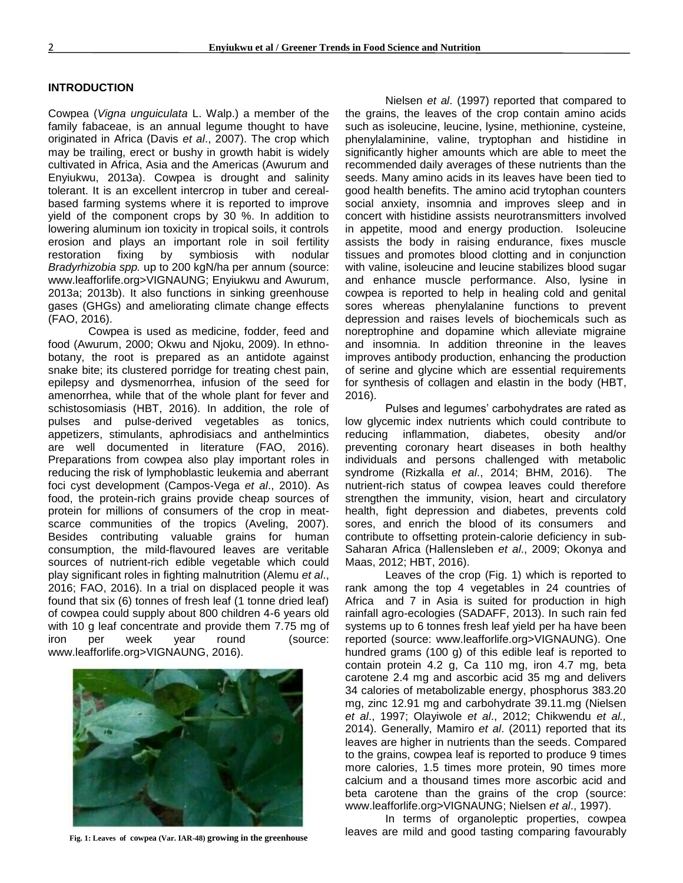#### **INTRODUCTION**

Cowpea (*Vigna unguiculata* L. Walp.) a member of the family fabaceae, is an annual legume thought to have originated in Africa (Davis *et al*., 2007). The crop which may be trailing, erect or bushy in growth habit is widely cultivated in Africa, Asia and the Americas (Awurum and Enyiukwu, 2013a). Cowpea is drought and salinity tolerant. It is an excellent intercrop in tuber and cerealbased farming systems where it is reported to improve yield of the component crops by 30 %. In addition to lowering aluminum ion toxicity in tropical soils, it controls erosion and plays an important role in soil fertility restoration fixing by symbiosis with nodular *Bradyrhizobia spp.* up to 200 kgN/ha per annum (source: www.leafforlife.org>VIGNAUNG; Enyiukwu and Awurum, 2013a; 2013b). It also functions in sinking greenhouse gases (GHGs) and ameliorating climate change effects (FAO, 2016).

Cowpea is used as medicine, fodder, feed and food (Awurum, 2000; Okwu and Njoku, 2009). In ethnobotany, the root is prepared as an antidote against snake bite; its clustered porridge for treating chest pain, epilepsy and dysmenorrhea, infusion of the seed for amenorrhea, while that of the whole plant for fever and schistosomiasis (HBT, 2016). In addition, the role of pulses and pulse-derived vegetables as tonics, appetizers, stimulants, aphrodisiacs and anthelmintics are well documented in literature (FAO, 2016). Preparations from cowpea also play important roles in reducing the risk of lymphoblastic leukemia and aberrant foci cyst development (Campos-Vega *et al*., 2010). As food, the protein-rich grains provide cheap sources of protein for millions of consumers of the crop in meatscarce communities of the tropics (Aveling, 2007). Besides contributing valuable grains for human consumption, the mild-flavoured leaves are veritable sources of nutrient-rich edible vegetable which could play significant roles in fighting malnutrition (Alemu *et al*., 2016; FAO, 2016). In a trial on displaced people it was found that six (6) tonnes of fresh leaf (1 tonne dried leaf) of cowpea could supply about 800 children 4-6 years old with 10 g leaf concentrate and provide them 7.75 mg of iron per week year round (source: www.leafforlife.org>VIGNAUNG, 2016).



**Fig. 1: Leaves of cowpea (Var. IAR-48) growing in the greenhouse**

Nielsen *et al*. (1997) reported that compared to the grains, the leaves of the crop contain amino acids such as isoleucine, leucine, lysine, methionine, cysteine, phenylalaminine, valine, tryptophan and histidine in significantly higher amounts which are able to meet the recommended daily averages of these nutrients than the seeds. Many amino acids in its leaves have been tied to good health benefits. The amino acid trytophan counters social anxiety, insomnia and improves sleep and in concert with histidine assists neurotransmitters involved in appetite, mood and energy production. Isoleucine assists the body in raising endurance, fixes muscle tissues and promotes blood clotting and in conjunction with valine, isoleucine and leucine stabilizes blood sugar and enhance muscle performance. Also, lysine in cowpea is reported to help in healing cold and genital sores whereas phenylalanine functions to prevent depression and raises levels of biochemicals such as noreptrophine and dopamine which alleviate migraine and insomnia. In addition threonine in the leaves improves antibody production, enhancing the production of serine and glycine which are essential requirements for synthesis of collagen and elastin in the body (HBT, 2016).

Pulses and legumes' carbohydrates are rated as low glycemic index nutrients which could contribute to reducing inflammation, diabetes, obesity and/or preventing coronary heart diseases in both healthy individuals and persons challenged with metabolic syndrome (Rizkalla *et al*., 2014; BHM, 2016). The nutrient-rich status of cowpea leaves could therefore strengthen the immunity, vision, heart and circulatory health, fight depression and diabetes, prevents cold sores, and enrich the blood of its consumers and contribute to offsetting protein-calorie deficiency in sub-Saharan Africa (Hallensleben *et al*., 2009; Okonya and Maas, 2012; HBT, 2016).

Leaves of the crop (Fig. 1) which is reported to rank among the top 4 vegetables in 24 countries of Africa and 7 in Asia is suited for production in high rainfall agro-ecologies (SADAFF, 2013). In such rain fed systems up to 6 tonnes fresh leaf yield per ha have been reported (source: www.leafforlife.org>VIGNAUNG). One hundred grams (100 g) of this edible leaf is reported to contain protein 4.2 g, Ca 110 mg, iron 4.7 mg, beta carotene 2.4 mg and ascorbic acid 35 mg and delivers 34 calories of metabolizable energy, phosphorus 383.20 mg, zinc 12.91 mg and carbohydrate 39.11.mg (Nielsen *et al*., 1997; Olayiwole *et al*., 2012; Chikwendu *et al.,* 2014). Generally, Mamiro *et al*. (2011) reported that its leaves are higher in nutrients than the seeds. Compared to the grains, cowpea leaf is reported to produce 9 times more calories, 1.5 times more protein, 90 times more calcium and a thousand times more ascorbic acid and beta carotene than the grains of the crop (source: www.leafforlife.org>VIGNAUNG; Nielsen *et al*., 1997).

In terms of organoleptic properties, cowpea leaves are mild and good tasting comparing favourably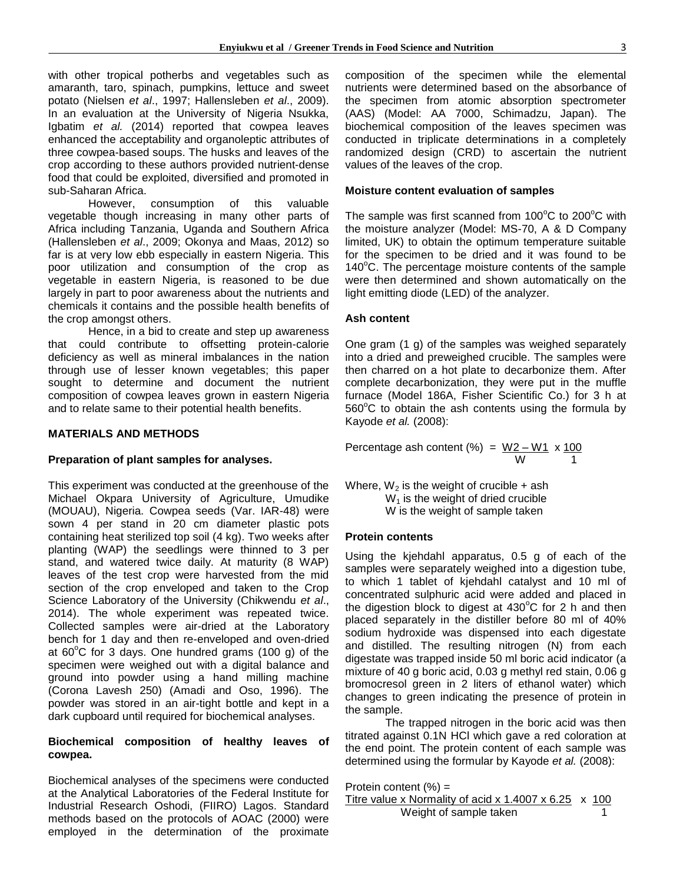with other tropical potherbs and vegetables such as amaranth, taro, spinach, pumpkins, lettuce and sweet potato (Nielsen *et al*., 1997; Hallensleben *et al*., 2009). In an evaluation at the University of Nigeria Nsukka, Igbatim *et al.* (2014) reported that cowpea leaves enhanced the acceptability and organoleptic attributes of three cowpea-based soups. The husks and leaves of the crop according to these authors provided nutrient-dense food that could be exploited, diversified and promoted in sub-Saharan Africa.

However, consumption of this valuable vegetable though increasing in many other parts of Africa including Tanzania, Uganda and Southern Africa (Hallensleben *et al*., 2009; Okonya and Maas, 2012) so far is at very low ebb especially in eastern Nigeria. This poor utilization and consumption of the crop as vegetable in eastern Nigeria, is reasoned to be due largely in part to poor awareness about the nutrients and chemicals it contains and the possible health benefits of the crop amongst others.

Hence, in a bid to create and step up awareness that could contribute to offsetting protein-calorie deficiency as well as mineral imbalances in the nation through use of lesser known vegetables; this paper sought to determine and document the nutrient composition of cowpea leaves grown in eastern Nigeria and to relate same to their potential health benefits.

#### **MATERIALS AND METHODS**

# **Preparation of plant samples for analyses.**

This experiment was conducted at the greenhouse of the Michael Okpara University of Agriculture, Umudike (MOUAU), Nigeria. Cowpea seeds (Var. IAR-48) were sown 4 per stand in 20 cm diameter plastic pots containing heat sterilized top soil (4 kg). Two weeks after planting (WAP) the seedlings were thinned to 3 per stand, and watered twice daily. At maturity (8 WAP) leaves of the test crop were harvested from the mid section of the crop enveloped and taken to the Crop Science Laboratory of the University (Chikwendu *et al*., 2014). The whole experiment was repeated twice. Collected samples were air-dried at the Laboratory bench for 1 day and then re-enveloped and oven-dried at  $60^{\circ}$ C for 3 days. One hundred grams (100 g) of the specimen were weighed out with a digital balance and ground into powder using a hand milling machine (Corona Lavesh 250) (Amadi and Oso, 1996). The powder was stored in an air-tight bottle and kept in a dark cupboard until required for biochemical analyses.

# **Biochemical composition of healthy leaves of cowpea.**

Biochemical analyses of the specimens were conducted at the Analytical Laboratories of the Federal Institute for Industrial Research Oshodi, (FIIRO) Lagos. Standard methods based on the protocols of AOAC (2000) were employed in the determination of the proximate composition of the specimen while the elemental nutrients were determined based on the absorbance of the specimen from atomic absorption spectrometer (AAS) (Model: AA 7000, Schimadzu, Japan). The biochemical composition of the leaves specimen was conducted in triplicate determinations in a completely randomized design (CRD) to ascertain the nutrient values of the leaves of the crop.

# **Moisture content evaluation of samples**

The sample was first scanned from  $100^{\circ}$ C to  $200^{\circ}$ C with the moisture analyzer (Model: MS-70, A & D Company limited, UK) to obtain the optimum temperature suitable for the specimen to be dried and it was found to be  $140^{\circ}$ C. The percentage moisture contents of the sample were then determined and shown automatically on the light emitting diode (LED) of the analyzer.

#### **Ash content**

One gram (1 g) of the samples was weighed separately into a dried and preweighed crucible. The samples were then charred on a hot plate to decarbonize them. After complete decarbonization, they were put in the muffle furnace (Model 186A, Fisher Scientific Co.) for 3 h at  $560^{\circ}$ C to obtain the ash contents using the formula by Kayode *et al.* (2008):

Percentage ash content (%) = 
$$
\frac{W2 - W1}{W} \times \frac{100}{1}
$$

Where,  $W_2$  is the weight of crucible + ash  $W_1$  is the weight of dried crucible W is the weight of sample taken

#### **Protein contents**

Using the kjehdahl apparatus, 0.5 g of each of the samples were separately weighed into a digestion tube, to which 1 tablet of kjehdahl catalyst and 10 ml of concentrated sulphuric acid were added and placed in the digestion block to digest at  $430^{\circ}$ C for 2 h and then placed separately in the distiller before 80 ml of 40% sodium hydroxide was dispensed into each digestate and distilled. The resulting nitrogen (N) from each digestate was trapped inside 50 ml boric acid indicator (a mixture of 40 g boric acid, 0.03 g methyl red stain, 0.06 g bromocresol green in 2 liters of ethanol water) which changes to green indicating the presence of protein in the sample.

The trapped nitrogen in the boric acid was then titrated against 0.1N HCl which gave a red coloration at the end point. The protein content of each sample was determined using the formular by Kayode *et al.* (2008):

Protein content  $(\%) =$ Titre value x Normality of acid x  $1.4007 \times 6.25 \times 100$ Weight of sample taken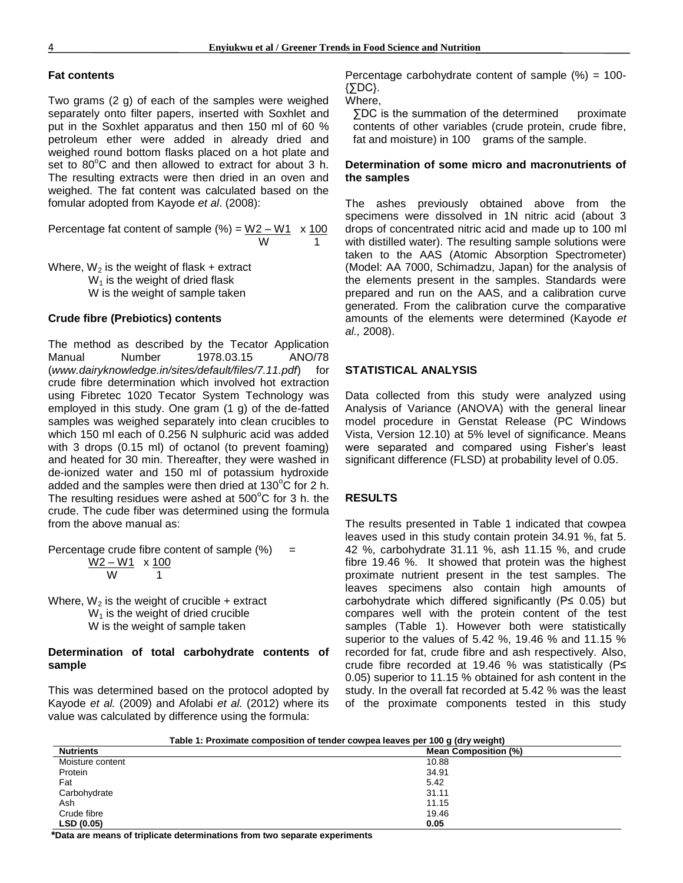# **Fat contents**

Two grams (2 g) of each of the samples were weighed separately onto filter papers, inserted with Soxhlet and put in the Soxhlet apparatus and then 150 ml of 60 % petroleum ether were added in already dried and weighed round bottom flasks placed on a hot plate and set to  $80^{\circ}$ C and then allowed to extract for about 3 h. The resulting extracts were then dried in an oven and weighed. The fat content was calculated based on the fomular adopted from Kayode *et al*. (2008):

Percentage fat content of sample  $(\%) = W2 - W1 \times 100$ w 1

Where,  $W_2$  is the weight of flask + extract  $W_1$  is the weight of dried flask W is the weight of sample taken

# **Crude fibre (Prebiotics) contents**

The method as described by the Tecator Application Manual Number 1978.03.15 ANO/78 (*www.dairyknowledge.in/sites/default/files/7.11.pdf*) for crude fibre determination which involved hot extraction using Fibretec 1020 Tecator System Technology was employed in this study. One gram (1 g) of the de-fatted samples was weighed separately into clean crucibles to which 150 ml each of 0.256 N sulphuric acid was added with 3 drops (0.15 ml) of octanol (to prevent foaming) and heated for 30 min. Thereafter, they were washed in de-ionized water and 150 ml of potassium hydroxide added and the samples were then dried at  $130^{\circ}$ C for 2 h. The resulting residues were ashed at  $500^{\circ}$ C for 3 h. the crude. The cude fiber was determined using the formula from the above manual as:

Percentage crude fibre content of sample  $%$  = <u>W2 – W1 x 100</u> **1** 1

Where,  $W_2$  is the weight of crucible + extract  $W_1$  is the weight of dried crucible W is the weight of sample taken

# **Determination of total carbohydrate contents of sample**

This was determined based on the protocol adopted by Kayode *et al.* (2009) and Afolabi *et al.* (2012) where its value was calculated by difference using the formula:

Percentage carbohydrate content of sample  $%$  = 100-{∑DC}.

Where,

∑DC is the summation of the determined proximate contents of other variables (crude protein, crude fibre, fat and moisture) in 100 grams of the sample.

# **Determination of some micro and macronutrients of the samples**

The ashes previously obtained above from the specimens were dissolved in 1N nitric acid (about 3 drops of concentrated nitric acid and made up to 100 ml with distilled water). The resulting sample solutions were taken to the AAS (Atomic Absorption Spectrometer) (Model: AA 7000, Schimadzu, Japan) for the analysis of the elements present in the samples. Standards were prepared and run on the AAS, and a calibration curve generated. From the calibration curve the comparative amounts of the elements were determined (Kayode *et al.,* 2008).

# **STATISTICAL ANALYSIS**

Data collected from this study were analyzed using Analysis of Variance (ANOVA) with the general linear model procedure in Genstat Release (PC Windows Vista, Version 12.10) at 5% level of significance. Means were separated and compared using Fisher's least significant difference (FLSD) at probability level of 0.05.

# **RESULTS**

The results presented in Table 1 indicated that cowpea leaves used in this study contain protein 34.91 %, fat 5. 42 %, carbohydrate 31.11 %, ash 11.15 %, and crude fibre 19.46 %. It showed that protein was the highest proximate nutrient present in the test samples. The leaves specimens also contain high amounts of carbohydrate which differed significantly (P≤ 0.05) but compares well with the protein content of the test samples (Table 1). However both were statistically superior to the values of 5.42 %, 19.46 % and 11.15 % recorded for fat, crude fibre and ash respectively. Also, crude fibre recorded at 19.46 % was statistically (P≤ 0.05) superior to 11.15 % obtained for ash content in the study. In the overall fat recorded at 5.42 % was the least of the proximate components tested in this study

| rable 1: Proximate composition of tender cowpea leaves per Tuu q (dry weight) |                             |
|-------------------------------------------------------------------------------|-----------------------------|
| <b>Nutrients</b>                                                              | <b>Mean Composition (%)</b> |
| Moisture content                                                              | 10.88                       |
| Protein                                                                       | 34.91                       |
| Fat                                                                           | 5.42                        |
| Carbohydrate                                                                  | 31.11                       |
| Ash                                                                           | 11.15                       |
| Crude fibre                                                                   | 19.46                       |
| LSD (0.05)                                                                    | 0.05                        |
|                                                                               |                             |

**Table 1: Proximate composition of tender cowpea leaves per 100 g (dry weight)**

**\*Data are means of triplicate determinations from two separate experiments**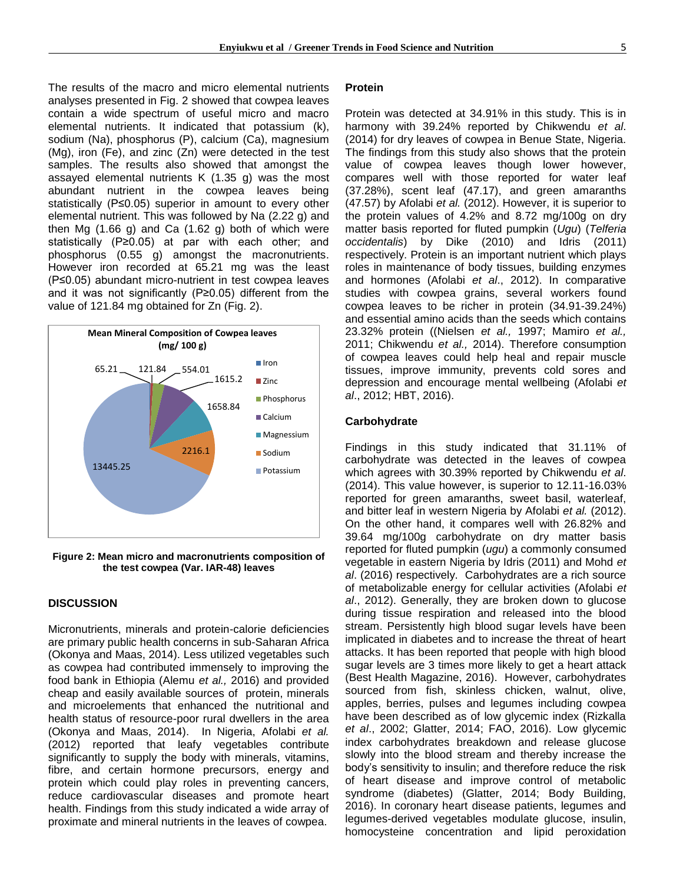The results of the macro and micro elemental nutrients analyses presented in Fig. 2 showed that cowpea leaves contain a wide spectrum of useful micro and macro elemental nutrients. It indicated that potassium (k), sodium (Na), phosphorus (P), calcium (Ca), magnesium (Mg), iron (Fe), and zinc (Zn) were detected in the test samples. The results also showed that amongst the assayed elemental nutrients K (1.35 g) was the most abundant nutrient in the cowpea leaves being statistically (P≤0.05) superior in amount to every other elemental nutrient. This was followed by Na (2.22 g) and then Mg (1.66 g) and Ca (1.62 g) both of which were statistically (P≥0.05) at par with each other; and phosphorus (0.55 g) amongst the macronutrients. However iron recorded at 65.21 mg was the least (P≤0.05) abundant micro-nutrient in test cowpea leaves and it was not significantly (P≥0.05) different from the value of 121.84 mg obtained for Zn (Fig. 2).



**Figure 2: Mean micro and macronutrients composition of the test cowpea (Var. IAR-48) leaves**

#### **DISCUSSION**

Micronutrients, minerals and protein-calorie deficiencies are primary public health concerns in sub-Saharan Africa (Okonya and Maas, 2014). Less utilized vegetables such as cowpea had contributed immensely to improving the food bank in Ethiopia (Alemu *et al.,* 2016) and provided cheap and easily available sources of protein, minerals and microelements that enhanced the nutritional and health status of resource-poor rural dwellers in the area (Okonya and Maas, 2014). In Nigeria, Afolabi *et al.*  (2012) reported that leafy vegetables contribute significantly to supply the body with minerals, vitamins, fibre, and certain hormone precursors, energy and protein which could play roles in preventing cancers, reduce cardiovascular diseases and promote heart health. Findings from this study indicated a wide array of proximate and mineral nutrients in the leaves of cowpea.

#### **Protein**

Protein was detected at 34.91% in this study. This is in harmony with 39.24% reported by Chikwendu *et al*. (2014) for dry leaves of cowpea in Benue State, Nigeria. The findings from this study also shows that the protein value of cowpea leaves though lower however, compares well with those reported for water leaf (37.28%), scent leaf (47.17), and green amaranths (47.57) by Afolabi *et al.* (2012). However, it is superior to the protein values of 4.2% and 8.72 mg/100g on dry matter basis reported for fluted pumpkin (*Ugu*) (*Telferia occidentalis*) by Dike (2010) and Idris (2011) respectively. Protein is an important nutrient which plays roles in maintenance of body tissues, building enzymes and hormones (Afolabi *et al*., 2012). In comparative studies with cowpea grains, several workers found cowpea leaves to be richer in protein (34.91-39.24%) and essential amino acids than the seeds which contains 23.32% protein ((Nielsen *et al.,* 1997; Mamiro *et al.,* 2011; Chikwendu *et al.,* 2014). Therefore consumption of cowpea leaves could help heal and repair muscle tissues, improve immunity, prevents cold sores and depression and encourage mental wellbeing (Afolabi *et al*., 2012; HBT, 2016).

#### **Carbohydrate**

Findings in this study indicated that 31.11% of carbohydrate was detected in the leaves of cowpea which agrees with 30.39% reported by Chikwendu *et al*. (2014). This value however, is superior to 12.11-16.03% reported for green amaranths, sweet basil, waterleaf, and bitter leaf in western Nigeria by Afolabi *et al.* (2012). On the other hand, it compares well with 26.82% and 39.64 mg/100g carbohydrate on dry matter basis reported for fluted pumpkin (*ugu*) a commonly consumed vegetable in eastern Nigeria by Idris (2011) and Mohd *et al*. (2016) respectively. Carbohydrates are a rich source of metabolizable energy for cellular activities (Afolabi *et al*., 2012). Generally, they are broken down to glucose during tissue respiration and released into the blood stream. Persistently high blood sugar levels have been implicated in diabetes and to increase the threat of heart attacks. It has been reported that people with high blood sugar levels are 3 times more likely to get a heart attack (Best Health Magazine, 2016). However, carbohydrates sourced from fish, skinless chicken, walnut, olive, apples, berries, pulses and legumes including cowpea have been described as of low glycemic index (Rizkalla *et al*., 2002; Glatter, 2014; FAO, 2016). Low glycemic index carbohydrates breakdown and release glucose slowly into the blood stream and thereby increase the body's sensitivity to insulin; and therefore reduce the risk of heart disease and improve control of metabolic syndrome (diabetes) (Glatter, 2014; Body Building, 2016). In coronary heart disease patients, legumes and legumes-derived vegetables modulate glucose, insulin, homocysteine concentration and lipid peroxidation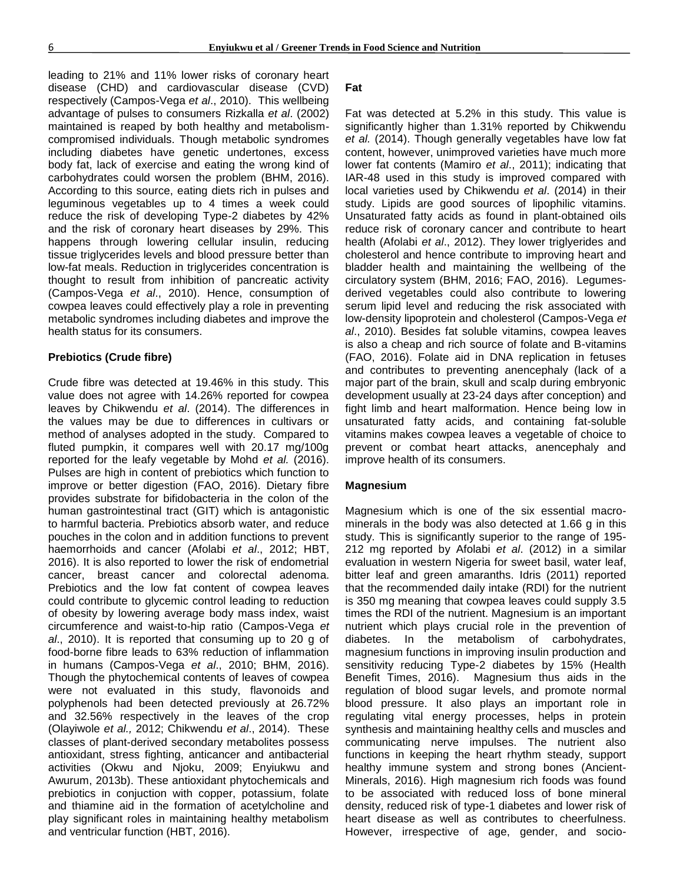leading to 21% and 11% lower risks of coronary heart disease (CHD) and cardiovascular disease (CVD) respectively (Campos-Vega *et al*., 2010). This wellbeing advantage of pulses to consumers Rizkalla *et al*. (2002) maintained is reaped by both healthy and metabolismcompromised individuals. Though metabolic syndromes including diabetes have genetic undertones, excess body fat, lack of exercise and eating the wrong kind of carbohydrates could worsen the problem (BHM, 2016). According to this source, eating diets rich in pulses and leguminous vegetables up to 4 times a week could reduce the risk of developing Type-2 diabetes by 42% and the risk of coronary heart diseases by 29%. This happens through lowering cellular insulin, reducing tissue triglycerides levels and blood pressure better than low-fat meals. Reduction in triglycerides concentration is thought to result from inhibition of pancreatic activity (Campos-Vega *et al*., 2010). Hence, consumption of cowpea leaves could effectively play a role in preventing metabolic syndromes including diabetes and improve the health status for its consumers.

# **Prebiotics (Crude fibre)**

Crude fibre was detected at 19.46% in this study. This value does not agree with 14.26% reported for cowpea leaves by Chikwendu *et al*. (2014). The differences in the values may be due to differences in cultivars or method of analyses adopted in the study. Compared to fluted pumpkin, it compares well with 20.17 mg/100g reported for the leafy vegetable by Mohd *et al.* (2016). Pulses are high in content of prebiotics which function to improve or better digestion (FAO, 2016). Dietary fibre provides substrate for bifidobacteria in the colon of the human gastrointestinal tract (GIT) which is antagonistic to harmful bacteria. Prebiotics absorb water, and reduce pouches in the colon and in addition functions to prevent haemorrhoids and cancer (Afolabi *et al*., 2012; HBT, 2016). It is also reported to lower the risk of endometrial cancer, breast cancer and colorectal adenoma. Prebiotics and the low fat content of cowpea leaves could contribute to glycemic control leading to reduction of obesity by lowering average body mass index, waist circumference and waist-to-hip ratio (Campos-Vega *et al*., 2010). It is reported that consuming up to 20 g of food-borne fibre leads to 63% reduction of inflammation in humans (Campos-Vega *et al*., 2010; BHM, 2016). Though the phytochemical contents of leaves of cowpea were not evaluated in this study, flavonoids and polyphenols had been detected previously at 26.72% and 32.56% respectively in the leaves of the crop (Olayiwole *et al.,* 2012; Chikwendu *et al*., 2014). These classes of plant-derived secondary metabolites possess antioxidant, stress fighting, anticancer and antibacterial activities (Okwu and Njoku, 2009; Enyiukwu and Awurum, 2013b). These antioxidant phytochemicals and prebiotics in conjuction with copper, potassium, folate and thiamine aid in the formation of acetylcholine and play significant roles in maintaining healthy metabolism and ventricular function (HBT, 2016).

#### **Fat**

Fat was detected at 5.2% in this study. This value is significantly higher than 1.31% reported by Chikwendu *et al.* (2014). Though generally vegetables have low fat content, however, unimproved varieties have much more lower fat contents (Mamiro *et al*., 2011); indicating that IAR-48 used in this study is improved compared with local varieties used by Chikwendu *et al*. (2014) in their study. Lipids are good sources of lipophilic vitamins. Unsaturated fatty acids as found in plant-obtained oils reduce risk of coronary cancer and contribute to heart health (Afolabi *et al*., 2012). They lower triglyerides and cholesterol and hence contribute to improving heart and bladder health and maintaining the wellbeing of the circulatory system (BHM, 2016; FAO, 2016). Legumesderived vegetables could also contribute to lowering serum lipid level and reducing the risk associated with low-density lipoprotein and cholesterol (Campos-Vega *et al*., 2010). Besides fat soluble vitamins, cowpea leaves is also a cheap and rich source of folate and B-vitamins (FAO, 2016). Folate aid in DNA replication in fetuses and contributes to preventing anencephaly (lack of a major part of the brain, skull and scalp during embryonic development usually at 23-24 days after conception) and fight limb and heart malformation. Hence being low in unsaturated fatty acids, and containing fat-soluble vitamins makes cowpea leaves a vegetable of choice to prevent or combat heart attacks, anencephaly and improve health of its consumers.

#### **Magnesium**

Magnesium which is one of the six essential macrominerals in the body was also detected at 1.66 g in this study. This is significantly superior to the range of 195- 212 mg reported by Afolabi *et al*. (2012) in a similar evaluation in western Nigeria for sweet basil, water leaf, bitter leaf and green amaranths. Idris (2011) reported that the recommended daily intake (RDI) for the nutrient is 350 mg meaning that cowpea leaves could supply 3.5 times the RDI of the nutrient. Magnesium is an important nutrient which plays crucial role in the prevention of diabetes. In the metabolism of carbohydrates, magnesium functions in improving insulin production and sensitivity reducing Type-2 diabetes by 15% (Health Benefit Times, 2016). Magnesium thus aids in the regulation of blood sugar levels, and promote normal blood pressure. It also plays an important role in regulating vital energy processes, helps in protein synthesis and maintaining healthy cells and muscles and communicating nerve impulses. The nutrient also functions in keeping the heart rhythm steady, support healthy immune system and strong bones (Ancient-Minerals, 2016). High magnesium rich foods was found to be associated with reduced loss of bone mineral density, reduced risk of type-1 diabetes and lower risk of heart disease as well as contributes to cheerfulness. However, irrespective of age, gender, and socio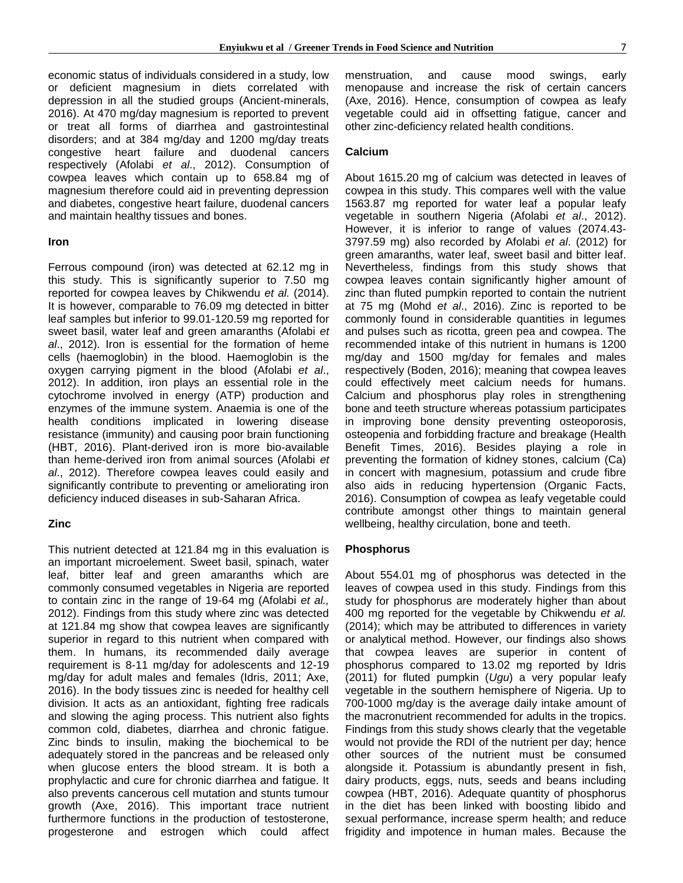economic status of individuals considered in a study, low or deficient magnesium in diets correlated with depression in all the studied groups (Ancient-minerals, 2016). At 470 mg/day magnesium is reported to prevent or treat all forms of diarrhea and gastrointestinal disorders; and at 384 mg/day and 1200 mg/day treats congestive heart failure and duodenal cancers respectively (Afolabi *et al*., 2012). Consumption of cowpea leaves which contain up to 658.84 mg of magnesium therefore could aid in preventing depression and diabetes, congestive heart failure, duodenal cancers and maintain healthy tissues and bones.

#### **Iron**

Ferrous compound (iron) was detected at 62.12 mg in this study. This is significantly superior to 7.50 mg reported for cowpea leaves by Chikwendu *et al.* (2014). It is however, comparable to 76.09 mg detected in bitter leaf samples but inferior to 99.01-120.59 mg reported for sweet basil, water leaf and green amaranths (Afolabi *et al*., 2012). Iron is essential for the formation of heme cells (haemoglobin) in the blood. Haemoglobin is the oxygen carrying pigment in the blood (Afolabi *et al*., 2012). In addition, iron plays an essential role in the cytochrome involved in energy (ATP) production and enzymes of the immune system. Anaemia is one of the health conditions implicated in lowering disease resistance (immunity) and causing poor brain functioning (HBT, 2016). Plant-derived iron is more bio-available than heme-derived iron from animal sources (Afolabi *et al*., 2012). Therefore cowpea leaves could easily and significantly contribute to preventing or ameliorating iron deficiency induced diseases in sub-Saharan Africa.

#### **Zinc**

This nutrient detected at 121.84 mg in this evaluation is an important microelement. Sweet basil, spinach, water leaf, bitter leaf and green amaranths which are commonly consumed vegetables in Nigeria are reported to contain zinc in the range of 19-64 mg (Afolabi *et al.,* 2012). Findings from this study where zinc was detected at 121.84 mg show that cowpea leaves are significantly superior in regard to this nutrient when compared with them. In humans, its recommended daily average requirement is 8-11 mg/day for adolescents and 12-19 mg/day for adult males and females (Idris, 2011; Axe, 2016). In the body tissues zinc is needed for healthy cell division. It acts as an antioxidant, fighting free radicals and slowing the aging process. This nutrient also fights common cold, diabetes, diarrhea and chronic fatigue. Zinc binds to insulin, making the biochemical to be adequately stored in the pancreas and be released only when glucose enters the blood stream. It is both a prophylactic and cure for chronic diarrhea and fatigue. It also prevents cancerous cell mutation and stunts tumour growth (Axe, 2016). This important trace nutrient furthermore functions in the production of testosterone, progesterone and estrogen which could affect menstruation, and cause mood swings, early menopause and increase the risk of certain cancers (Axe, 2016). Hence, consumption of cowpea as leafy vegetable could aid in offsetting fatigue, cancer and other zinc-deficiency related health conditions.

#### **Calcium**

About 1615.20 mg of calcium was detected in leaves of cowpea in this study. This compares well with the value 1563.87 mg reported for water leaf a popular leafy vegetable in southern Nigeria (Afolabi *et al*., 2012). However, it is inferior to range of values (2074.43- 3797.59 mg) also recorded by Afolabi *et al*. (2012) for green amaranths, water leaf, sweet basil and bitter leaf. Nevertheless, findings from this study shows that cowpea leaves contain significantly higher amount of zinc than fluted pumpkin reported to contain the nutrient at 75 mg (Mohd *et al*., 2016). Zinc is reported to be commonly found in considerable quantities in legumes and pulses such as ricotta, green pea and cowpea. The recommended intake of this nutrient in humans is 1200 mg/day and 1500 mg/day for females and males respectively (Boden, 2016); meaning that cowpea leaves could effectively meet calcium needs for humans. Calcium and phosphorus play roles in strengthening bone and teeth structure whereas potassium participates in improving bone density preventing osteoporosis, osteopenia and forbidding fracture and breakage (Health Benefit Times, 2016). Besides playing a role in preventing the formation of kidney stones, calcium (Ca) in concert with magnesium, potassium and crude fibre also aids in reducing hypertension (Organic Facts, 2016). Consumption of cowpea as leafy vegetable could contribute amongst other things to maintain general wellbeing, healthy circulation, bone and teeth.

#### **Phosphorus**

About 554.01 mg of phosphorus was detected in the leaves of cowpea used in this study. Findings from this study for phosphorus are moderately higher than about 400 mg reported for the vegetable by Chikwendu *et al.* (2014); which may be attributed to differences in variety or analytical method. However, our findings also shows that cowpea leaves are superior in content of phosphorus compared to 13.02 mg reported by Idris (2011) for fluted pumpkin (*Ugu*) a very popular leafy vegetable in the southern hemisphere of Nigeria. Up to 700-1000 mg/day is the average daily intake amount of the macronutrient recommended for adults in the tropics. Findings from this study shows clearly that the vegetable would not provide the RDI of the nutrient per day; hence other sources of the nutrient must be consumed alongside it. Potassium is abundantly present in fish, dairy products, eggs, nuts, seeds and beans including cowpea (HBT, 2016). Adequate quantity of phosphorus in the diet has been linked with boosting libido and sexual performance, increase sperm health; and reduce frigidity and impotence in human males. Because the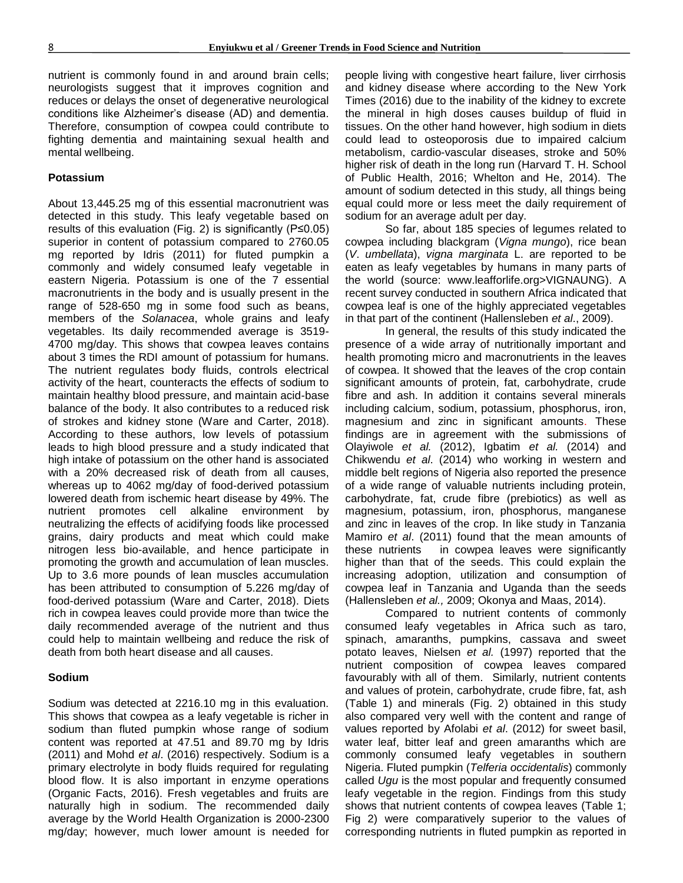nutrient is commonly found in and around brain cells; neurologists suggest that it improves cognition and reduces or delays the onset of degenerative neurological conditions like Alzheimer's disease (AD) and dementia. Therefore, consumption of cowpea could contribute to fighting dementia and maintaining sexual health and mental wellbeing.

# **Potassium**

About 13,445.25 mg of this essential macronutrient was detected in this study. This leafy vegetable based on results of this evaluation (Fig. 2) is significantly (P≤0.05) superior in content of potassium compared to 2760.05 mg reported by Idris (2011) for fluted pumpkin a commonly and widely consumed leafy vegetable in eastern Nigeria. Potassium is one of the 7 essential macronutrients in the body and is usually present in the range of 528-650 mg in some food such as beans, members of the *Solanacea*, whole grains and leafy vegetables. Its daily recommended average is 3519- 4700 mg/day. This shows that cowpea leaves contains about 3 times the RDI amount of potassium for humans. The nutrient regulates body fluids, controls electrical activity of the heart, counteracts the effects of sodium to maintain healthy blood pressure, and maintain acid-base balance of the body. It also contributes to a reduced risk of strokes and kidney stone (Ware and Carter, 2018). According to these authors, low levels of potassium leads to high blood pressure and a study indicated that high intake of potassium on the other hand is associated with a 20% decreased risk of death from all causes, whereas up to 4062 mg/day of food-derived potassium lowered death from ischemic heart disease by 49%. The nutrient promotes cell alkaline environment by neutralizing the effects of acidifying foods like processed grains, dairy products and meat which could make nitrogen less bio-available, and hence participate in promoting the growth and accumulation of lean muscles. Up to 3.6 more pounds of lean muscles accumulation has been attributed to consumption of 5.226 mg/day of food-derived potassium (Ware and Carter, 2018). Diets rich in cowpea leaves could provide more than twice the daily recommended average of the nutrient and thus could help to maintain wellbeing and reduce the risk of death from both heart disease and all causes.

#### **Sodium**

Sodium was detected at 2216.10 mg in this evaluation. This shows that cowpea as a leafy vegetable is richer in sodium than fluted pumpkin whose range of sodium content was reported at 47.51 and 89.70 mg by Idris (2011) and Mohd *et al*. (2016) respectively. Sodium is a primary electrolyte in body fluids required for regulating blood flow. It is also important in enzyme operations (Organic Facts, 2016). Fresh vegetables and fruits are naturally high in sodium. The recommended daily average by the World Health Organization is 2000-2300 mg/day; however, much lower amount is needed for people living with congestive heart failure, liver cirrhosis and kidney disease where according to the New York Times (2016) due to the inability of the kidney to excrete the mineral in high doses causes buildup of fluid in tissues. On the other hand however, high sodium in diets could lead to osteoporosis due to impaired calcium metabolism, cardio-vascular diseases, stroke and 50% higher risk of death in the long run (Harvard T. H. School of Public Health, 2016; Whelton and He, 2014). The amount of sodium detected in this study, all things being equal could more or less meet the daily requirement of sodium for an average adult per day.

So far, about 185 species of legumes related to cowpea including blackgram (*Vigna mungo*), rice bean (*V*. *umbellata*), *vigna marginata* L. are reported to be eaten as leafy vegetables by humans in many parts of the world (source: www.leafforlife.org>VIGNAUNG). A recent survey conducted in southern Africa indicated that cowpea leaf is one of the highly appreciated vegetables in that part of the continent (Hallensleben *et al*., 2009).

In general, the results of this study indicated the presence of a wide array of nutritionally important and health promoting micro and macronutrients in the leaves of cowpea. It showed that the leaves of the crop contain significant amounts of protein, fat, carbohydrate, crude fibre and ash. In addition it contains several minerals including calcium, sodium, potassium, phosphorus, iron, magnesium and zinc in significant amounts. These findings are in agreement with the submissions of Olayiwole *et al.* (2012), Igbatim *et al.* (2014) and Chikwendu *et al*. (2014) who working in western and middle belt regions of Nigeria also reported the presence of a wide range of valuable nutrients including protein, carbohydrate, fat, crude fibre (prebiotics) as well as magnesium, potassium, iron, phosphorus, manganese and zinc in leaves of the crop. In like study in Tanzania Mamiro *et al*. (2011) found that the mean amounts of these nutrients in cowpea leaves were significantly higher than that of the seeds. This could explain the increasing adoption, utilization and consumption of cowpea leaf in Tanzania and Uganda than the seeds (Hallensleben *et al.,* 2009; Okonya and Maas, 2014).

Compared to nutrient contents of commonly consumed leafy vegetables in Africa such as taro, spinach, amaranths, pumpkins, cassava and sweet potato leaves, Nielsen *et al.* (1997) reported that the nutrient composition of cowpea leaves compared favourably with all of them. Similarly, nutrient contents and values of protein, carbohydrate, crude fibre, fat, ash (Table 1) and minerals (Fig. 2) obtained in this study also compared very well with the content and range of values reported by Afolabi *et al*. (2012) for sweet basil, water leaf, bitter leaf and green amaranths which are commonly consumed leafy vegetables in southern Nigeria. Fluted pumpkin (*Telferia occidentalis*) commonly called *Ugu* is the most popular and frequently consumed leafy vegetable in the region. Findings from this study shows that nutrient contents of cowpea leaves (Table 1; Fig 2) were comparatively superior to the values of corresponding nutrients in fluted pumpkin as reported in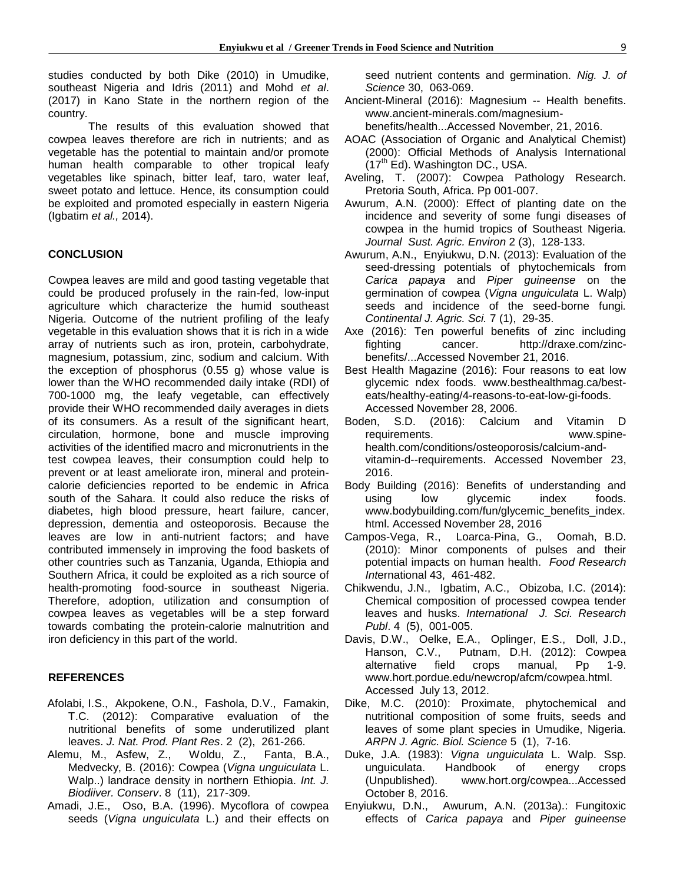studies conducted by both Dike (2010) in Umudike, southeast Nigeria and Idris (2011) and Mohd *et al*. (2017) in Kano State in the northern region of the country.

The results of this evaluation showed that cowpea leaves therefore are rich in nutrients; and as vegetable has the potential to maintain and/or promote human health comparable to other tropical leafy vegetables like spinach, bitter leaf, taro, water leaf, sweet potato and lettuce. Hence, its consumption could be exploited and promoted especially in eastern Nigeria (Igbatim *et al.,* 2014).

# **CONCLUSION**

Cowpea leaves are mild and good tasting vegetable that could be produced profusely in the rain-fed, low-input agriculture which characterize the humid southeast Nigeria. Outcome of the nutrient profiling of the leafy vegetable in this evaluation shows that it is rich in a wide array of nutrients such as iron, protein, carbohydrate, magnesium, potassium, zinc, sodium and calcium. With the exception of phosphorus (0.55 g) whose value is lower than the WHO recommended daily intake (RDI) of 700-1000 mg, the leafy vegetable, can effectively provide their WHO recommended daily averages in diets of its consumers. As a result of the significant heart, circulation, hormone, bone and muscle improving activities of the identified macro and micronutrients in the test cowpea leaves, their consumption could help to prevent or at least ameliorate iron, mineral and proteincalorie deficiencies reported to be endemic in Africa south of the Sahara. It could also reduce the risks of diabetes, high blood pressure, heart failure, cancer, depression, dementia and osteoporosis. Because the leaves are low in anti-nutrient factors; and have contributed immensely in improving the food baskets of other countries such as Tanzania, Uganda, Ethiopia and Southern Africa, it could be exploited as a rich source of health-promoting food-source in southeast Nigeria. Therefore, adoption, utilization and consumption of cowpea leaves as vegetables will be a step forward towards combating the protein-calorie malnutrition and iron deficiency in this part of the world.

# **REFERENCES**

- Afolabi, I.S., Akpokene, O.N., Fashola, D.V., Famakin, T.C. (2012): Comparative evaluation of the nutritional benefits of some underutilized plant leaves. *J. Nat. Prod. Plant Res*. 2 (2), 261-266.
- Alemu, M., Asfew, Z., Woldu, Z., Fanta, B.A., Medvecky, B. (2016): Cowpea (*Vigna unguiculata* L. Walp..) landrace density in northern Ethiopia. *Int. J. Biodiiver. Conserv*. 8 (11), 217-309.
- Amadi, J.E., Oso, B.A. (1996). Mycoflora of cowpea seeds (*Vigna unguiculata* L.) and their effects on

seed nutrient contents and germination. *Nig. J. of Science* 30, 063-069.

- Ancient-Mineral (2016): Magnesium -- Health benefits. [www.ancient-minerals.com/magnesium](http://www.ancient-minerals.com/magnesium-benefits/health...Accessed)
	- [benefits/health...Accessed](http://www.ancient-minerals.com/magnesium-benefits/health...Accessed) November, 21, 2016.
- AOAC (Association of Organic and Analytical Chemist) (2000): Official Methods of Analysis International  $(17<sup>th</sup> Ed)$ . Washington DC., USA.
- Aveling, T. (2007): Cowpea Pathology Research. Pretoria South, Africa. Pp 001-007.
- Awurum, A.N. (2000): Effect of planting date on the incidence and severity of some fungi diseases of cowpea in the humid tropics of Southeast Nigeria. *Journal Sust. Agric. Environ* 2 (3), 128-133.
- Awurum, A.N., Enyiukwu, D.N. (2013): Evaluation of the seed-dressing potentials of phytochemicals from *Carica papaya* and *Piper guineense* on the germination of cowpea (*Vigna unguiculata* L. Walp) seeds and incidence of the seed-borne fungi*. Continental J. Agric. Sci.* 7 (1), 29-35.
- Axe (2016): Ten powerful benefits of zinc including fighting cancer. [http://draxe.com/zinc](http://draxe.com/zinc-benefits/...Accessed)[benefits/...Accessed](http://draxe.com/zinc-benefits/...Accessed) November 21, 2016.
- Best Health Magazine (2016): Four reasons to eat low glycemic ndex foods. [www.besthealthmag.ca/best](http://www.besthealthmag.ca/best-eats/healthy-eating/4-reasons-to-eat-low-gi-foods)[eats/healthy-eating/4-reasons-to-eat-low-gi-foods.](http://www.besthealthmag.ca/best-eats/healthy-eating/4-reasons-to-eat-low-gi-foods) Accessed November 28, 2006.
- Boden, S.D. (2016): Calcium and Vitamin D requirements. [www.spine](http://www.spine-health.com/conditions/osteoporosis/calcium-and-vitamin-d--requirements.%20Accessed%20November%2023)[health.com/conditions/osteoporosis/calcium-and](http://www.spine-health.com/conditions/osteoporosis/calcium-and-vitamin-d--requirements.%20Accessed%20November%2023)[vitamin-d--requirements. Accessed November 23,](http://www.spine-health.com/conditions/osteoporosis/calcium-and-vitamin-d--requirements.%20Accessed%20November%2023) 2016.
- Body Building (2016): Benefits of understanding and using low glycemic index foods. [www.bodybuilding.com/fun/glycemic\\_benefits\\_index.](http://www.bodybuilding.com/fun/glycemic_benefits_index.html%20Accessed%20November%2028) [html. Accessed November 28,](http://www.bodybuilding.com/fun/glycemic_benefits_index.html%20Accessed%20November%2028) 2016
- Campos-Vega, R., Loarca-Pina, G., Oomah, B.D. (2010): Minor components of pulses and their potential impacts on human health. *Food Research Int*ernational 43, 461-482.
- Chikwendu, J.N., Igbatim, A.C., Obizoba, I.C. (2014): Chemical composition of processed cowpea tender leaves and husks. *International J. Sci. Research Publ*. 4 (5), 001-005.
- Davis, D.W., Oelke, E.A., Oplinger, E.S., Doll, J.D., Hanson, C.V., Putnam, D.H. (2012): Cowpea alternative field crops manual, Pp 1-9. [www.hort.pordue.edu/newcrop/afcm/cowpea.html.](http://www.hort.pordue.edu/newcrop/afcm/cowpea.html.%20Accessed%20%20July%2013)  [Accessed July 13,](http://www.hort.pordue.edu/newcrop/afcm/cowpea.html.%20Accessed%20%20July%2013) 2012.
- Dike, M.C. (2010): Proximate, phytochemical and nutritional composition of some fruits, seeds and leaves of some plant species in Umudike, Nigeria. *ARPN J. Agric. Biol. Science* 5 (1), 7-16.
- Duke, J.A. (1983): *Vigna unguiculata* L. Walp. Ssp. unguiculata. Handbook of energy crops (Unpublished). [www.hort.org/cowpea...Accessed](http://www.hort.org/cowpea...Accessed%20October%208)  [October 8,](http://www.hort.org/cowpea...Accessed%20October%208) 2016.
- Enyiukwu, D.N., Awurum, A.N. (2013a).: Fungitoxic effects of *Carica papaya* and *Piper guineense*